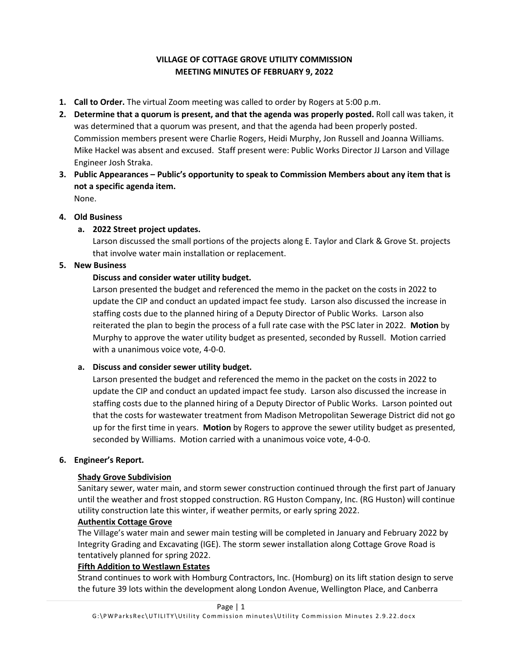# **VILLAGE OF COTTAGE GROVE UTILITY COMMISSION MEETING MINUTES OF FEBRUARY 9, 2022**

- **1. Call to Order.** The virtual Zoom meeting was called to order by Rogers at 5:00 p.m.
- **2. Determine that a quorum is present, and that the agenda was properly posted.** Roll call was taken, it was determined that a quorum was present, and that the agenda had been properly posted. Commission members present were Charlie Rogers, Heidi Murphy, Jon Russell and Joanna Williams. Mike Hackel was absent and excused. Staff present were: Public Works Director JJ Larson and Village Engineer Josh Straka.
- **3. Public Appearances – Public's opportunity to speak to Commission Members about any item that is not a specific agenda item.**  None.

#### **4. Old Business**

## **a. 2022 Street project updates.**

Larson discussed the small portions of the projects along E. Taylor and Clark & Grove St. projects that involve water main installation or replacement.

#### **5. New Business**

#### **Discuss and consider water utility budget.**

Larson presented the budget and referenced the memo in the packet on the costs in 2022 to update the CIP and conduct an updated impact fee study. Larson also discussed the increase in staffing costs due to the planned hiring of a Deputy Director of Public Works. Larson also reiterated the plan to begin the process of a full rate case with the PSC later in 2022. **Motion** by Murphy to approve the water utility budget as presented, seconded by Russell. Motion carried with a unanimous voice vote, 4-0-0.

#### **a. Discuss and consider sewer utility budget.**

Larson presented the budget and referenced the memo in the packet on the costs in 2022 to update the CIP and conduct an updated impact fee study. Larson also discussed the increase in staffing costs due to the planned hiring of a Deputy Director of Public Works. Larson pointed out that the costs for wastewater treatment from Madison Metropolitan Sewerage District did not go up for the first time in years. **Motion** by Rogers to approve the sewer utility budget as presented, seconded by Williams. Motion carried with a unanimous voice vote, 4-0-0.

#### **6. Engineer's Report.**

## **Shady Grove Subdivision**

Sanitary sewer, water main, and storm sewer construction continued through the first part of January until the weather and frost stopped construction. RG Huston Company, Inc. (RG Huston) will continue utility construction late this winter, if weather permits, or early spring 2022.

#### **Authentix Cottage Grove**

The Village's water main and sewer main testing will be completed in January and February 2022 by Integrity Grading and Excavating (IGE). The storm sewer installation along Cottage Grove Road is tentatively planned for spring 2022.

## **Fifth Addition to Westlawn Estates**

Strand continues to work with Homburg Contractors, Inc. (Homburg) on its lift station design to serve the future 39 lots within the development along London Avenue, Wellington Place, and Canberra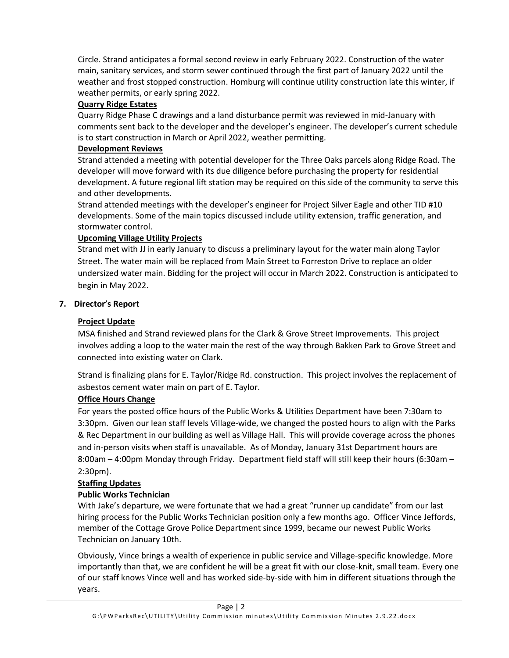Circle. Strand anticipates a formal second review in early February 2022. Construction of the water main, sanitary services, and storm sewer continued through the first part of January 2022 until the weather and frost stopped construction. Homburg will continue utility construction late this winter, if weather permits, or early spring 2022.

#### **Quarry Ridge Estates**

Quarry Ridge Phase C drawings and a land disturbance permit was reviewed in mid-January with comments sent back to the developer and the developer's engineer. The developer's current schedule is to start construction in March or April 2022, weather permitting.

#### **Development Reviews**

Strand attended a meeting with potential developer for the Three Oaks parcels along Ridge Road. The developer will move forward with its due diligence before purchasing the property for residential development. A future regional lift station may be required on this side of the community to serve this and other developments.

Strand attended meetings with the developer's engineer for Project Silver Eagle and other TID #10 developments. Some of the main topics discussed include utility extension, traffic generation, and stormwater control.

## **Upcoming Village Utility Projects**

Strand met with JJ in early January to discuss a preliminary layout for the water main along Taylor Street. The water main will be replaced from Main Street to Forreston Drive to replace an older undersized water main. Bidding for the project will occur in March 2022. Construction is anticipated to begin in May 2022.

#### **7. Director's Report**

## **Project Update**

MSA finished and Strand reviewed plans for the Clark & Grove Street Improvements. This project involves adding a loop to the water main the rest of the way through Bakken Park to Grove Street and connected into existing water on Clark.

Strand is finalizing plans for E. Taylor/Ridge Rd. construction. This project involves the replacement of asbestos cement water main on part of E. Taylor.

## **Office Hours Change**

For years the posted office hours of the Public Works & Utilities Department have been 7:30am to 3:30pm. Given our lean staff levels Village-wide, we changed the posted hours to align with the Parks & Rec Department in our building as well as Village Hall. This will provide coverage across the phones and in-person visits when staff is unavailable. As of Monday, January 31st Department hours are 8:00am – 4:00pm Monday through Friday. Department field staff will still keep their hours (6:30am – 2:30pm).

## **Staffing Updates**

## **Public Works Technician**

With Jake's departure, we were fortunate that we had a great "runner up candidate" from our last hiring process for the Public Works Technician position only a few months ago. Officer Vince Jeffords, member of the Cottage Grove Police Department since 1999, became our newest Public Works Technician on January 10th.

Obviously, Vince brings a wealth of experience in public service and Village-specific knowledge. More importantly than that, we are confident he will be a great fit with our close-knit, small team. Every one of our staff knows Vince well and has worked side-by-side with him in different situations through the years.